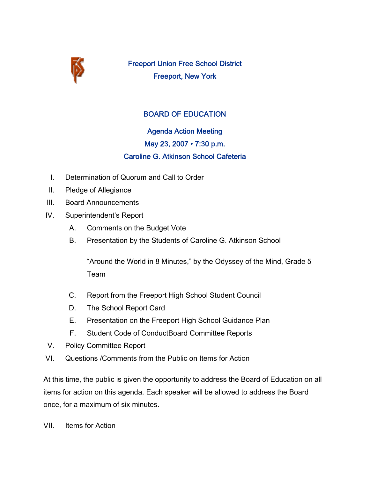

Freeport Union Free School District Freeport, New York

## BOARD OF EDUCATION

# Agenda Action Meeting May 23, 2007 • 7:30 p.m. Caroline G. Atkinson School Cafeteria

- I. Determination of Quorum and Call to Order
- II. Pledge of Allegiance
- III. Board Announcements
- IV. Superintendent's Report
	- A. Comments on the Budget Vote
	- B. Presentation by the Students of Caroline G. Atkinson School

"Around the World in 8 Minutes," by the Odyssey of the Mind, Grade 5 Team

- C. Report from the Freeport High School Student Council
- D. The School Report Card
- E. Presentation on the Freeport High School Guidance Plan
- F. Student Code of ConductBoard Committee Reports
- V. Policy Committee Report
- VI. Questions /Comments from the Public on Items for Action

At this time, the public is given the opportunity to address the Board of Education on all items for action on this agenda. Each speaker will be allowed to address the Board once, for a maximum of six minutes.

VII. Items for Action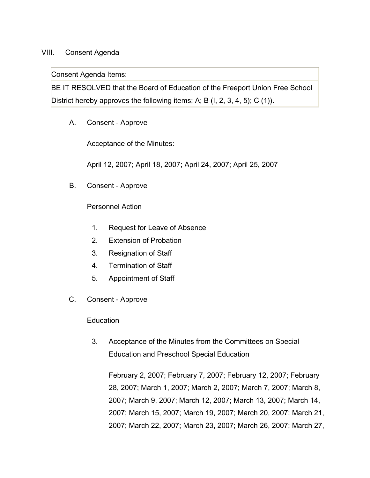### VIII. Consent Agenda

Consent Agenda Items:

BE IT RESOLVED that the Board of Education of the Freeport Union Free School District hereby approves the following items; A; B (I, 2, 3, 4, 5); C (1)).

A. Consent - Approve

Acceptance of the Minutes:

April 12, 2007; April 18, 2007; April 24, 2007; April 25, 2007

B. Consent - Approve

Personnel Action

- 1. Request for Leave of Absence
- 2. Extension of Probation
- 3. Resignation of Staff
- 4. Termination of Staff
- 5. Appointment of Staff
- C. Consent Approve

**Education** 

3. Acceptance of the Minutes from the Committees on Special Education and Preschool Special Education

February 2, 2007; February 7, 2007; February 12, 2007; February 28, 2007; March 1, 2007; March 2, 2007; March 7, 2007; March 8, 2007; March 9, 2007; March 12, 2007; March 13, 2007; March 14, 2007; March 15, 2007; March 19, 2007; March 20, 2007; March 21, 2007; March 22, 2007; March 23, 2007; March 26, 2007; March 27,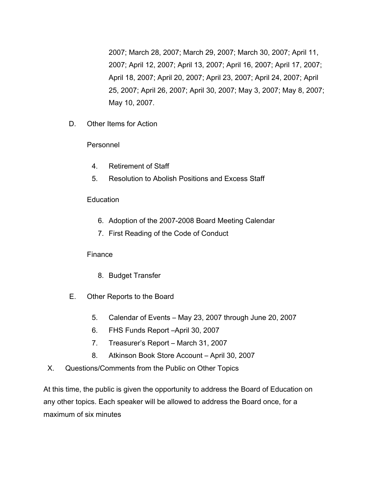2007; March 28, 2007; March 29, 2007; March 30, 2007; April 11, 2007; April 12, 2007; April 13, 2007; April 16, 2007; April 17, 2007; April 18, 2007; April 20, 2007; April 23, 2007; April 24, 2007; April 25, 2007; April 26, 2007; April 30, 2007; May 3, 2007; May 8, 2007; May 10, 2007.

D. Other Items for Action

#### Personnel

- 4. Retirement of Staff
- 5. Resolution to Abolish Positions and Excess Staff

#### **Education**

- 6. Adoption of the 2007-2008 Board Meeting Calendar
- 7. First Reading of the Code of Conduct

#### Finance

- 8. Budget Transfer
- E. Other Reports to the Board
	- 5. Calendar of Events May 23, 2007 through June 20, 2007
	- 6. FHS Funds Report –April 30, 2007
	- 7. Treasurer's Report March 31, 2007
	- 8. Atkinson Book Store Account April 30, 2007
- X. Questions/Comments from the Public on Other Topics

At this time, the public is given the opportunity to address the Board of Education on any other topics. Each speaker will be allowed to address the Board once, for a maximum of six minutes